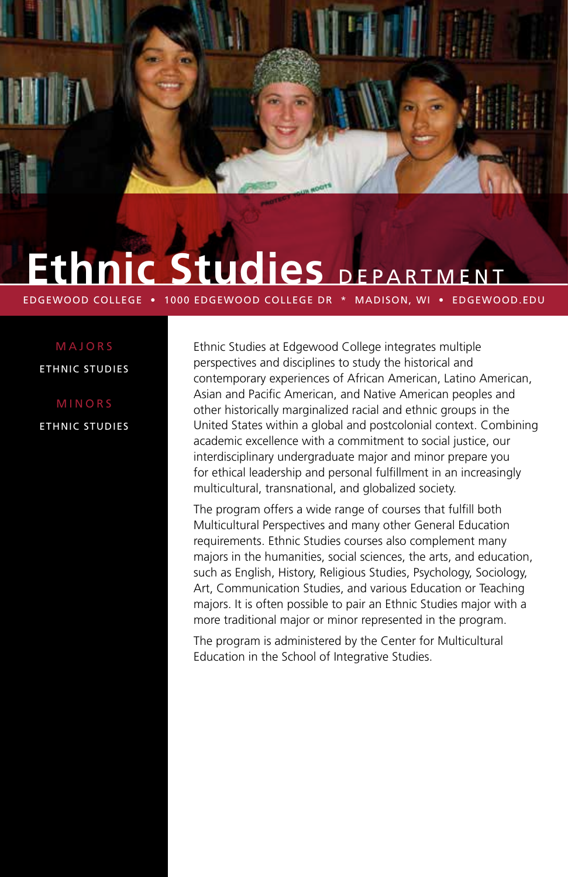# EPARTMENT

EDGEWOOD COLLEGE • 1000 EDGEWOOD COLLEGE DR \* MADISON, WI • EDGEWOOD.EDU

MAJORS ETHNIC STUDIES

MINORS ETHNIC STUDIES Ethnic Studies at Edgewood College integrates multiple perspectives and disciplines to study the historical and contemporary experiences of African American, Latino American, Asian and Pacific American, and Native American peoples and other historically marginalized racial and ethnic groups in the United States within a global and postcolonial context. Combining academic excellence with a commitment to social justice, our interdisciplinary undergraduate major and minor prepare you for ethical leadership and personal fulfillment in an increasingly multicultural, transnational, and globalized society.

The program offers a wide range of courses that fulfill both Multicultural Perspectives and many other General Education requirements. Ethnic Studies courses also complement many majors in the humanities, social sciences, the arts, and education, such as English, History, Religious Studies, Psychology, Sociology, Art, Communication Studies, and various Education or Teaching majors. It is often possible to pair an Ethnic Studies major with a more traditional major or minor represented in the program.

The program is administered by the Center for Multicultural Education in the School of Integrative Studies.